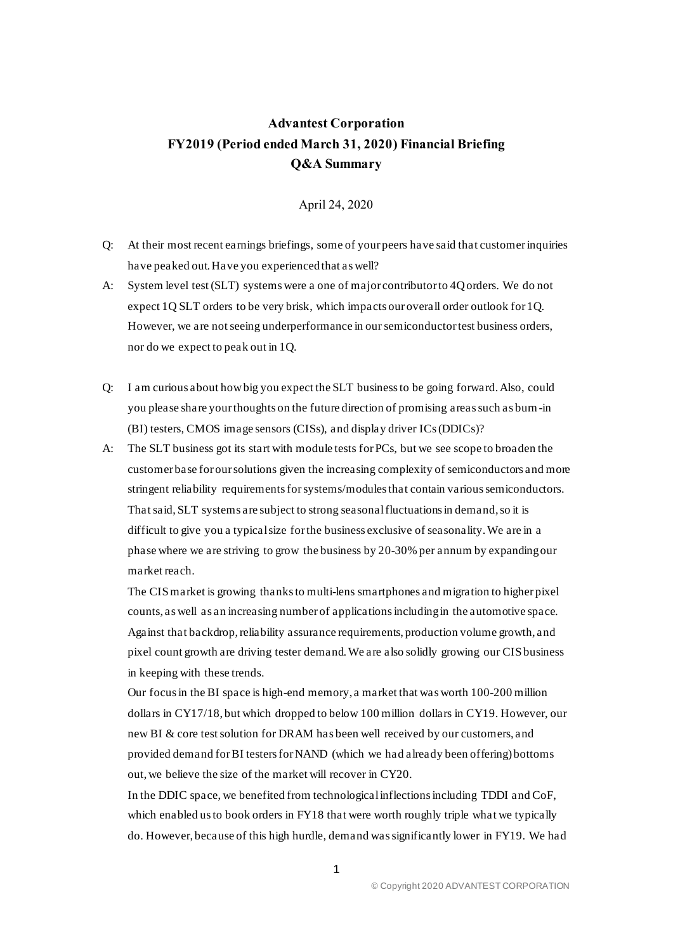## **Advantest Corporation FY2019 (Period ended March 31, 2020) Financial Briefing Q&A Summary**

## April 24, 2020

- Q: At their most recent earnings briefings, some of your peers have said that customer inquiries have peaked out. Have you experienced that as well?
- A: System level test (SLT) systems were a one of major contributor to 4Q orders. We do not expect 1Q SLT orders to be very brisk, which impacts our overall order outlook for 1Q. However, we are not seeing underperformance in our semiconductor test business orders, nor do we expect to peak out in 1Q.
- Q: I am curious about how big you expect the SLT business to be going forward. Also, could you please share your thoughts on the future direction of promising areas such as burn -in (BI) testers, CMOS image sensors (CISs), and display driver ICs (DDICs)?
- A: The SLT business got its start with module tests for PCs, but we see scope to broaden the customer base for our solutions given the increasing complexity of semiconductors and more stringent reliability requirements for systems/modules that contain varioussemiconductors. That said, SLT systems are subject to strong seasonal fluctuations in demand, so it is difficult to give you a typical size for the business exclusive of seasonality. We are in a phase where we are striving to grow the business by 20-30% per annum by expanding our market reach.

The CISmarket is growing thanks to multi-lens smartphones and migration to higher pixel counts, as well as an increasing number of applicationsincluding in the automotive space. Against that backdrop, reliability assurance requirements, production volume growth, and pixel count growth are driving tester demand. We are also solidly growing our CIS business in keeping with these trends.

Our focus in the BI space is high-end memory, a market that was worth 100-200 million dollars in CY17/18, but which dropped to below 100 million dollars in CY19. However, our new BI & core test solution for DRAM has been well received by our customers, and provided demand for BI testers for NAND (which we had already been offering) bottoms out, we believe the size of the market will recover in CY20.

In the DDIC space, we benefited from technological inflections including TDDI and CoF, which enabled us to book orders in FY18 that were worth roughly triple what we typically do. However, because of this high hurdle, demand was significantly lower in FY19. We had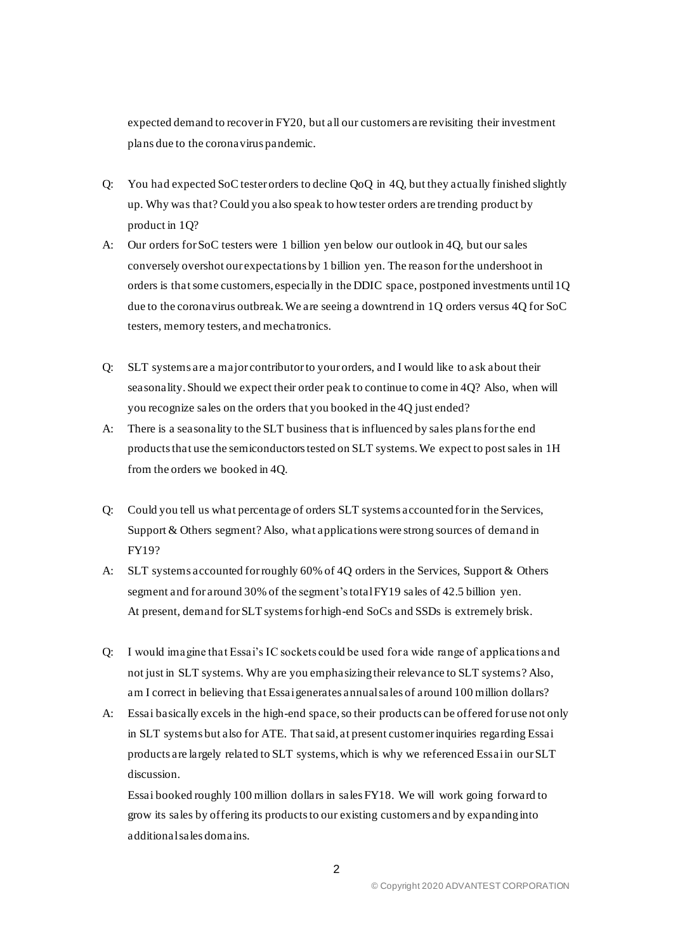expected demand to recover in FY20, but all our customers are revisiting their investment plans due to the coronavirus pandemic.

- Q: You had expected SoC tester orders to decline QoQ in 4Q, but they actually finished slightly up. Why was that? Could you also speak to how tester orders are trending product by product in 1Q?
- A: Our orders for SoC testers were 1 billion yen below our outlook in 4Q, but our sales conversely overshot our expectations by 1 billion yen. The reason for the undershoot in orders is that some customers, especially in the DDIC space, postponed investments until 1Q due to the coronavirus outbreak. We are seeing a downtrend in 1Q orders versus 4Q for SoC testers, memory testers, and mechatronics.
- Q: SLT systems are a major contributor to your orders, and I would like to ask about their seasonality. Should we expect their order peak to continue to come in 4Q? Also, when will you recognize sales on the orders that you booked in the 4Q just ended?
- A: There is a seasonality to the SLT business that is influenced by sales plans for the end products that use the semiconductors tested on SLT systems. We expect to post sales in 1H from the orders we booked in 4Q.
- Q: Could you tell us what percentage of orders SLT systems accounted for in the Services, Support & Others segment? Also, what applications were strong sources of demand in FY19?
- A: SLT systems accounted for roughly 60% of 4Q orders in the Services, Support & Others segment and for around 30% of the segment's total FY19 sales of 42.5 billion yen. At present, demand for SLT systems for high-end SoCs and SSDs is extremely brisk.
- Q: I would imagine that Essai's IC sockets could be used for a wide range of applications and not just in SLT systems. Why are you emphasizing their relevance to SLT systems? Also, am I correct in believing that Essai generates annual sales of around 100 million dollars?
- A: Essai basically excels in the high-end space, so their products can be offered for use not only in SLT systems but also for ATE. That said, at present customer inquiries regarding Essai products are largely related to SLT systems, which is why we referenced Essai in our SLT discussion.

Essai booked roughly 100 million dollars in sales FY18. We will work going forward to grow its sales by offering its products to our existing customers and by expanding into additional sales domains.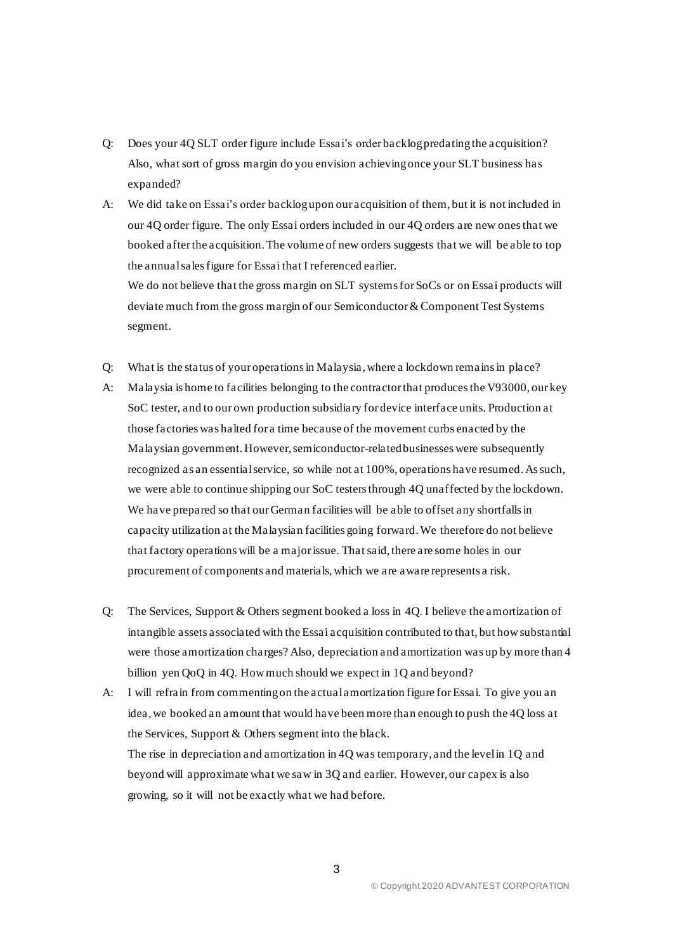- Q: Does your 4Q SLT order figure include Essai's order backlog predating the acquisition? Also, what sort of gross margin do you envision achieving once your SLT business has expanded?
- A: We did take on Essai's order backlog upon our acquisition of them, but it is not included in our 4Q order figure. The only Essai orders included in our 4Q orders are new onesthat we booked after the acquisition. The volume of new orders suggests that we will be able to top the annual sales figure for Essai that I referenced earlier. We do not believe that the gross margin on SLT systems for SoCs or on Essai products will

deviate much from the gross margin of our Semiconductor & Component Test Systems segment.

- Q: What is the status of your operations in Malaysia, where a lockdown remains in place?
- A: Malaysia is home to facilities belonging to the contractor that produces the V93000, our key SoC tester, and to our own production subsidiary for device interface units. Production at those factories was halted for a time because of the movement curbs enacted by the Malaysian government. However, semiconductor-related businesses were subsequently recognized as an essential service, so while not at 100%, operations have resumed. As such, we were able to continue shipping our SoC testers through 4Q unaffected by the lockdown. We have prepared so that our German facilities will be able to offset any shortfalls in capacity utilization at the Malaysian facilities going forward. We therefore do not believe that factory operations will be a major issue. That said, there are some holes in our procurement of components and materials, which we are aware represents a risk.
- Q: The Services, Support & Others segment booked a loss in 4Q. I believe the amortization of intangible assets associated with the Essai acquisition contributed to that, but how substantial were those amortization charges? Also, depreciation and amortization was up by more than 4 billion yen QoQ in 4Q. How much should we expect in 1Q and beyond?
- A: I will refrain from commenting on the actual amortization figure for Essai. To give you an idea, we booked an amount that would have been more than enough to push the 4Q loss at the Services, Support & Others segment into the black.

The rise in depreciation and amortization in 4Q was temporary, and the level in 1Q and beyond will approximate what we saw in 3Q and earlier. However, our capex is also growing, so it will not be exactly what we had before.